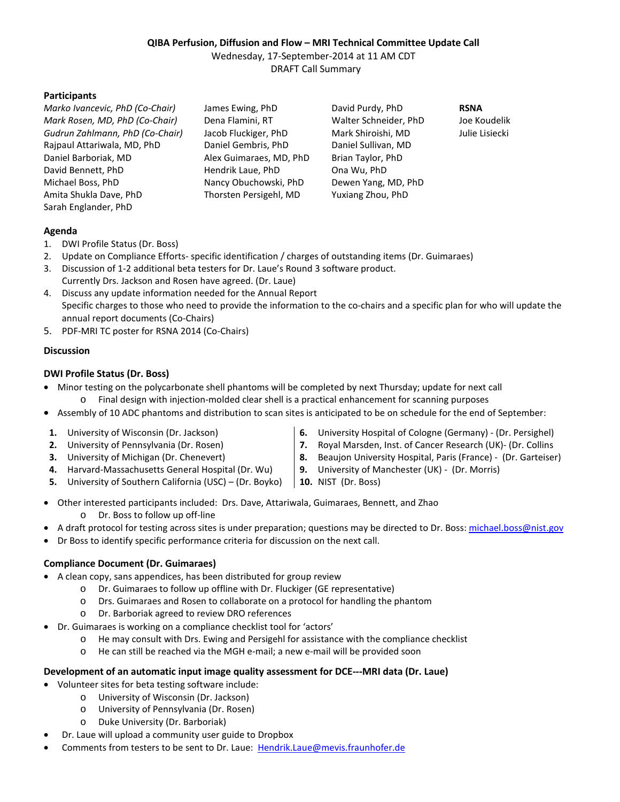# **QIBA Perfusion, Diffusion and Flow – MRI Technical Committee Update Call**

Wednesday, 17-September-2014 at 11 AM CDT DRAFT Call Summary

## **Participants**

*Marko Ivancevic, PhD (Co-Chair)* James Ewing, PhD David Purdy, PhD **RSNA** *Mark Rosen, MD, PhD (Co-Chair)* Dena Flamini, RT Walter Schneider, PhD Joe Koudelik *Gudrun Zahlmann, PhD (Co-Chair)* Jacob Fluckiger, PhD Mark Shiroishi, MD Julie Lisiecki Rajpaul Attariwala, MD, PhD Daniel Gembris, PhD Daniel Sullivan, MD Daniel Barboriak, MD Alex Guimaraes, MD, PhD Brian Taylor, PhD David Bennett, PhD Hendrik Laue, PhD Ona Wu, PhD Michael Boss, PhD Nancy Obuchowski, PhD Dewen Yang, MD, PhD Amita Shukla Dave, PhD Thorsten Persigehl, MD Yuxiang Zhou, PhD Sarah Englander, PhD

## **Agenda**

- 1. DWI Profile Status (Dr. Boss)
- 2. Update on Compliance Efforts- specific identification / charges of outstanding items (Dr. Guimaraes)
- 3. Discussion of 1-2 additional beta testers for Dr. Laue's Round 3 software product. Currently Drs. Jackson and Rosen have agreed. (Dr. Laue)
- 4. Discuss any update information needed for the Annual Report Specific charges to those who need to provide the information to the co-chairs and a specific plan for who will update the annual report documents (Co-Chairs)
- 5. PDF-MRI TC poster for RSNA 2014 (Co-Chairs)

### **Discussion**

## **DWI Profile Status (Dr. Boss)**

- · Minor testing on the polycarbonate shell phantoms will be completed by next Thursday; update for next call o Final design with injection-molded clear shell is a practical enhancement for scanning purposes
- · Assembly of 10 ADC phantoms and distribution to scan sites is anticipated to be on schedule for the end of September:
- **1.** University of Wisconsin (Dr. Jackson)
- **2.** University of Pennsylvania (Dr. Rosen)
- **3.** University of Michigan (Dr. Chenevert)
- **4.** Harvard-Massachusetts General Hospital (Dr. Wu)
- **5.** University of Southern California (USC) (Dr. Boyko)
- **6.** University Hospital of Cologne (Germany) (Dr. Persighel)
- **7.** Royal Marsden, Inst. of Cancer Research (UK)- (Dr. Collins
- **8.** Beaujon University Hospital, Paris (France) (Dr. Garteiser)
- **9.** University of Manchester (UK) (Dr. Morris)
- **10.** NIST (Dr. Boss)
- · Other interested participants included: Drs. Dave, Attariwala, Guimaraes, Bennett, and Zhao o Dr. Boss to follow up off-line
- A draft protocol for testing across sites is under preparation; questions may be directed to Dr. Boss: [michael.boss@nist.gov](mailto:michael.boss@nist.gov)
- · Dr Boss to identify specific performance criteria for discussion on the next call.

## **Compliance Document (Dr. Guimaraes)**

- · A clean copy, sans appendices, has been distributed for group review
	- o Dr. Guimaraes to follow up offline with Dr. Fluckiger (GE representative)
	- o Drs. Guimaraes and Rosen to collaborate on a protocol for handling the phantom
	- o Dr. Barboriak agreed to review DRO references
- · Dr. Guimaraes is working on a compliance checklist tool for 'actors'
	- o He may consult with Drs. Ewing and Persigehl for assistance with the compliance checklist
	- o He can still be reached via the MGH e-mail; a new e-mail will be provided soon

### **Development of an automatic input image quality assessment for DCE---MRI data (Dr. Laue)**

- · Volunteer sites for beta testing software include:
	- o University of Wisconsin (Dr. Jackson)
	- o University of Pennsylvania (Dr. Rosen)
	- o Duke University (Dr. Barboriak)
- · Dr. Laue will upload a community user guide to Dropbox
- Comments from testers to be sent to Dr. Laue: [Hendrik.Laue@mevis.fraunhofer.de](mailto:Hendrik.Laue@mevis.fraunhofer.de)